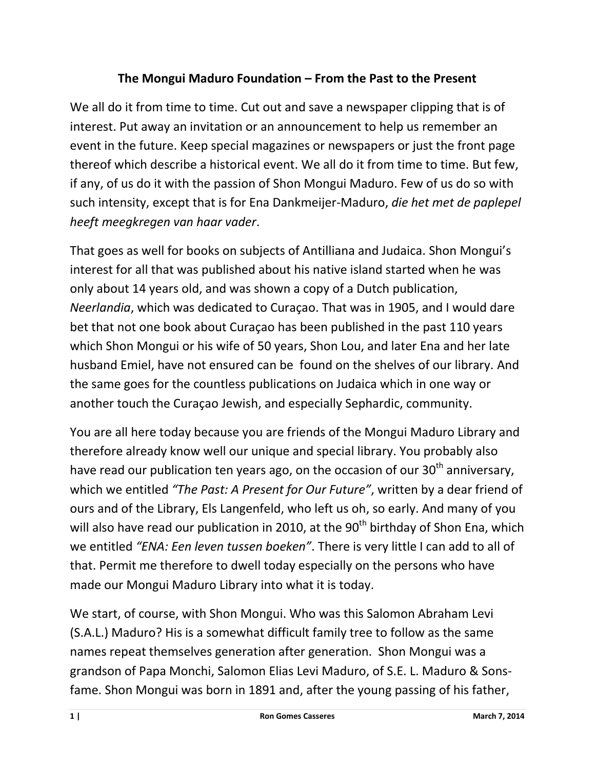## **The Mongui Maduro Foundation – From the Past to the Present**

We all do it from time to time. Cut out and save a newspaper clipping that is of interest. Put away an invitation or an announcement to help us remember an event in the future. Keep special magazines or newspapers or just the front page thereof which describe a historical event. We all do it from time to time. But few, if any, of us do it with the passion of Shon Mongui Maduro. Few of us do so with such intensity, except that is for Ena Dankmeijer-Maduro, *die het met de paplepel heeft meegkregen van haar vader*.

That goes as well for books on subjects of Antilliana and Judaica. Shon Mongui's interest for all that was published about his native island started when he was only about 14 years old, and was shown a copy of a Dutch publication, *Neerlandia*, which was dedicated to Curaçao. That was in 1905, and I would dare bet that not one book about Curaçao has been published in the past 110 years which Shon Mongui or his wife of 50 years, Shon Lou, and later Ena and her late husband Emiel, have not ensured can be found on the shelves of our library. And the same goes for the countless publications on Judaica which in one way or another touch the Curaçao Jewish, and especially Sephardic, community.

You are all here today because you are friends of the Mongui Maduro Library and therefore already know well our unique and special library. You probably also have read our publication ten years ago, on the occasion of our  $30<sup>th</sup>$  anniversary, which we entitled *"The Past: A Present for Our Future"*, written by a dear friend of ours and of the Library, Els Langenfeld, who left us oh, so early. And many of you will also have read our publication in 2010, at the  $90<sup>th</sup>$  birthday of Shon Ena, which we entitled *"ENA: Een leven tussen boeken"*. There is very little I can add to all of that. Permit me therefore to dwell today especially on the persons who have made our Mongui Maduro Library into what it is today.

We start, of course, with Shon Mongui. Who was this Salomon Abraham Levi (S.A.L.) Maduro? His is a somewhat difficult family tree to follow as the same names repeat themselves generation after generation. Shon Mongui was a grandson of Papa Monchi, Salomon Elias Levi Maduro, of S.E. L. Maduro & Sonsfame. Shon Mongui was born in 1891 and, after the young passing of his father,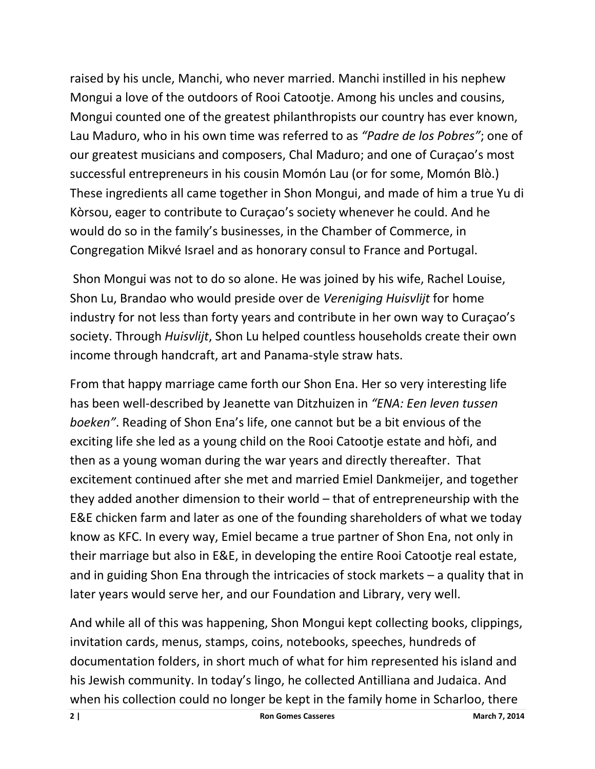raised by his uncle, Manchi, who never married. Manchi instilled in his nephew Mongui a love of the outdoors of Rooi Catootje. Among his uncles and cousins, Mongui counted one of the greatest philanthropists our country has ever known, Lau Maduro, who in his own time was referred to as *"Padre de los Pobres"*; one of our greatest musicians and composers, Chal Maduro; and one of Curaçao's most successful entrepreneurs in his cousin Momón Lau (or for some, Momón Blò.) These ingredients all came together in Shon Mongui, and made of him a true Yu di Kòrsou, eager to contribute to Curaçao's society whenever he could. And he would do so in the family's businesses, in the Chamber of Commerce, in Congregation Mikvé Israel and as honorary consul to France and Portugal.

Shon Mongui was not to do so alone. He was joined by his wife, Rachel Louise, Shon Lu, Brandao who would preside over de *Vereniging Huisvlijt* for home industry for not less than forty years and contribute in her own way to Curaçao's society. Through *Huisvlijt*, Shon Lu helped countless households create their own income through handcraft, art and Panama-style straw hats.

From that happy marriage came forth our Shon Ena. Her so very interesting life has been well-described by Jeanette van Ditzhuizen in *"ENA: Een leven tussen boeken"*. Reading of Shon Ena's life, one cannot but be a bit envious of the exciting life she led as a young child on the Rooi Catootje estate and hòfi, and then as a young woman during the war years and directly thereafter. That excitement continued after she met and married Emiel Dankmeijer, and together they added another dimension to their world – that of entrepreneurship with the E&E chicken farm and later as one of the founding shareholders of what we today know as KFC. In every way, Emiel became a true partner of Shon Ena, not only in their marriage but also in E&E, in developing the entire Rooi Catootje real estate, and in guiding Shon Ena through the intricacies of stock markets – a quality that in later years would serve her, and our Foundation and Library, very well.

And while all of this was happening, Shon Mongui kept collecting books, clippings, invitation cards, menus, stamps, coins, notebooks, speeches, hundreds of documentation folders, in short much of what for him represented his island and his Jewish community. In today's lingo, he collected Antilliana and Judaica. And when his collection could no longer be kept in the family home in Scharloo, there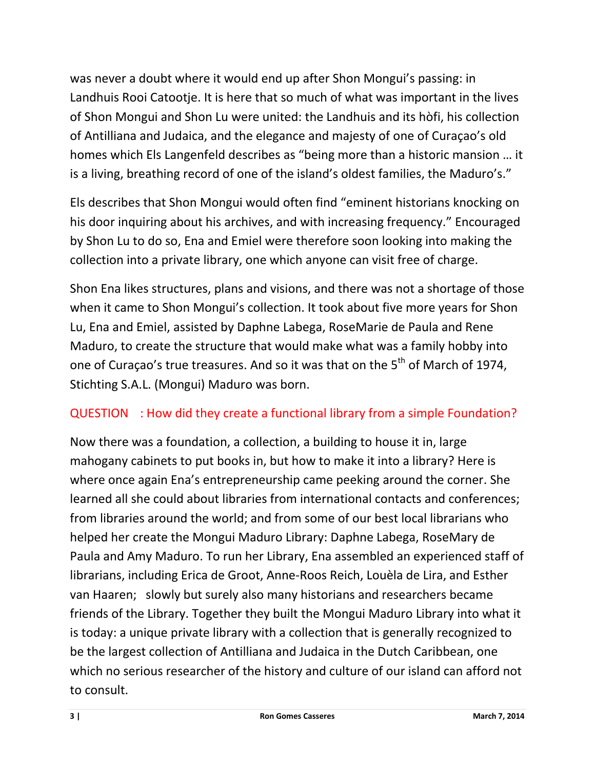was never a doubt where it would end up after Shon Mongui's passing: in Landhuis Rooi Catootje. It is here that so much of what was important in the lives of Shon Mongui and Shon Lu were united: the Landhuis and its hòfi, his collection of Antilliana and Judaica, and the elegance and majesty of one of Curaçao's old homes which Els Langenfeld describes as "being more than a historic mansion … it is a living, breathing record of one of the island's oldest families, the Maduro's."

Els describes that Shon Mongui would often find "eminent historians knocking on his door inquiring about his archives, and with increasing frequency." Encouraged by Shon Lu to do so, Ena and Emiel were therefore soon looking into making the collection into a private library, one which anyone can visit free of charge.

Shon Ena likes structures, plans and visions, and there was not a shortage of those when it came to Shon Mongui's collection. It took about five more years for Shon Lu, Ena and Emiel, assisted by Daphne Labega, RoseMarie de Paula and Rene Maduro, to create the structure that would make what was a family hobby into one of Curaçao's true treasures. And so it was that on the 5<sup>th</sup> of March of 1974, Stichting S.A.L. (Mongui) Maduro was born.

## QUESTION : How did they create a functional library from a simple Foundation?

Now there was a foundation, a collection, a building to house it in, large mahogany cabinets to put books in, but how to make it into a library? Here is where once again Ena's entrepreneurship came peeking around the corner. She learned all she could about libraries from international contacts and conferences; from libraries around the world; and from some of our best local librarians who helped her create the Mongui Maduro Library: Daphne Labega, RoseMary de Paula and Amy Maduro. To run her Library, Ena assembled an experienced staff of librarians, including Erica de Groot, Anne-Roos Reich, Louèla de Lira, and Esther van Haaren; slowly but surely also many historians and researchers became friends of the Library. Together they built the Mongui Maduro Library into what it is today: a unique private library with a collection that is generally recognized to be the largest collection of Antilliana and Judaica in the Dutch Caribbean, one which no serious researcher of the history and culture of our island can afford not to consult.